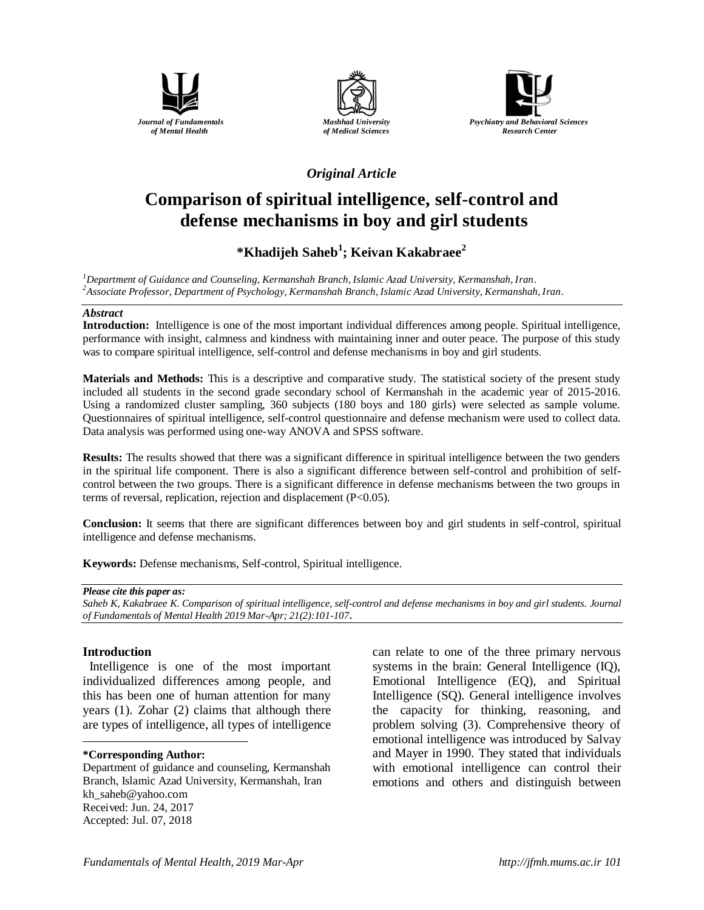





## *Original Article*

# **Comparison of spiritual intelligence, self-control and defense mechanisms in boy and girl students**

## **\*Khadijeh Saheb<sup>1</sup> ; Keivan Kakabraee<sup>2</sup>**

*<sup>1</sup>Department of Guidance and Counseling, Kermanshah Branch, Islamic Azad University, Kermanshah, Iran. <sup>2</sup>Associate Professor, Department of Psychology, Kermanshah Branch, Islamic Azad University, Kermanshah, Iran.*

#### *Abstract*

**Introduction:** Intelligence is one of the most important individual differences among people. Spiritual intelligence, performance with insight, calmness and kindness with maintaining inner and outer peace. The purpose of this study was to compare spiritual intelligence, self-control and defense mechanisms in boy and girl students.

**Materials and Methods:** This is a descriptive and comparative study. The statistical society of the present study included all students in the second grade secondary school of Kermanshah in the academic year of 2015-2016. Using a randomized cluster sampling, 360 subjects (180 boys and 180 girls) were selected as sample volume. Questionnaires of spiritual intelligence, self-control questionnaire and defense mechanism were used to collect data. Data analysis was performed using one-way ANOVA and SPSS software.

**Results:** The results showed that there was a significant difference in spiritual intelligence between the two genders in the spiritual life component. There is also a significant difference between self-control and prohibition of selfcontrol between the two groups. There is a significant difference in defense mechanisms between the two groups in terms of reversal, replication, rejection and displacement (P<0.05).

**Conclusion:** It seems that there are significant differences between boy and girl students in self-control, spiritual intelligence and defense mechanisms.

**Keywords:** Defense mechanisms, Self-control, Spiritual intelligence.

#### *Please cite this paper as:*

*Saheb K, Kakabraee K. Comparison of spiritual intelligence, self-control and defense mechanisms in boy and girl students. Journal of Fundamentals of Mental Health 2019 Mar-Apr; 21(2):101-107***.**

## **Introduction**

 Intelligence is one of the most important individualized differences among people, and this has been one of human attention for many years (1). Zohar (2) claims that although there are types of intelligence, all types of intelligence

#### $\overline{a}$ **\*Corresponding Author:**

Department of guidance and counseling, Kermanshah Branch, Islamic Azad University, Kermanshah, Iran [kh\\_saheb@yahoo.com](mailto:kh_saheb@yahoo.com) Received: Jun. 24, 2017 Accepted: Jul. 07, 2018

can relate to one of the three primary nervous systems in the brain: General Intelligence (IQ), Emotional Intelligence (EQ), and Spiritual Intelligence (SQ). General intelligence involves the capacity for thinking, reasoning, and problem solving (3). Comprehensive theory of emotional intelligence was introduced by Salvay and Mayer in 1990. They stated that individuals with emotional intelligence can control their emotions and others and distinguish between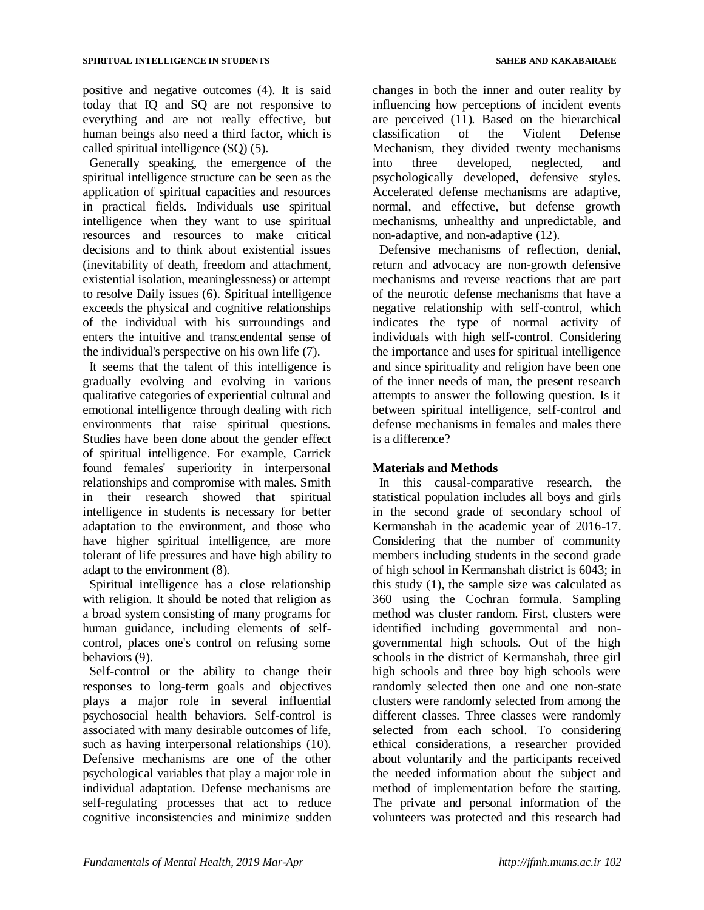positive and negative outcomes (4). It is said today that IQ and SQ are not responsive to everything and are not really effective, but human beings also need a third factor, which is called spiritual intelligence (SQ) (5).

Generally speaking, the emergence of the spiritual intelligence structure can be seen as the application of spiritual capacities and resources in practical fields. Individuals use spiritual intelligence when they want to use spiritual resources and resources to make critical decisions and to think about existential issues (inevitability of death, freedom and attachment, existential isolation, meaninglessness) or attempt to resolve Daily issues (6). Spiritual intelligence exceeds the physical and cognitive relationships of the individual with his surroundings and enters the intuitive and transcendental sense of the individual's perspective on his own life (7).

It seems that the talent of this intelligence is gradually evolving and evolving in various qualitative categories of experiential cultural and emotional intelligence through dealing with rich environments that raise spiritual questions. Studies have been done about the gender effect of spiritual intelligence. For example, Carrick found females' superiority in interpersonal relationships and compromise with males. Smith in their research showed that spiritual intelligence in students is necessary for better adaptation to the environment, and those who have higher spiritual intelligence, are more tolerant of life pressures and have high ability to adapt to the environment (8).

Spiritual intelligence has a close relationship with religion. It should be noted that religion as a broad system consisting of many programs for human guidance, including elements of selfcontrol, places one's control on refusing some behaviors (9).

Self-control or the ability to change their responses to long-term goals and objectives plays a major role in several influential psychosocial health behaviors. Self-control is associated with many desirable outcomes of life, such as having interpersonal relationships (10). Defensive mechanisms are one of the other psychological variables that play a major role in individual adaptation. Defense mechanisms are self-regulating processes that act to reduce cognitive inconsistencies and minimize sudden changes in both the inner and outer reality by influencing how perceptions of incident events are perceived (11). Based on the hierarchical classification of the Violent Defense Mechanism, they divided twenty mechanisms into three developed, neglected, and psychologically developed, defensive styles. Accelerated defense mechanisms are adaptive, normal, and effective, but defense growth mechanisms, unhealthy and unpredictable, and non-adaptive, and non-adaptive (12).

Defensive mechanisms of reflection, denial, return and advocacy are non-growth defensive mechanisms and reverse reactions that are part of the neurotic defense mechanisms that have a negative relationship with self-control, which indicates the type of normal activity of individuals with high self-control. Considering the importance and uses for spiritual intelligence and since spirituality and religion have been one of the inner needs of man, the present research attempts to answer the following question. Is it between spiritual intelligence, self-control and defense mechanisms in females and males there is a difference?

## **Materials and Methods**

In this causal-comparative research, the statistical population includes all boys and girls in the second grade of secondary school of Kermanshah in the academic year of 2016-17. Considering that the number of community members including students in the second grade of high school in Kermanshah district is 6043; in this study (1), the sample size was calculated as 360 using the Cochran formula. Sampling method was cluster random. First, clusters were identified including governmental and nongovernmental high schools. Out of the high schools in the district of Kermanshah, three girl high schools and three boy high schools were randomly selected then one and one non-state clusters were randomly selected from among the different classes. Three classes were randomly selected from each school. To considering ethical considerations, a researcher provided about voluntarily and the participants received the needed information about the subject and method of implementation before the starting. The private and personal information of the volunteers was protected and this research had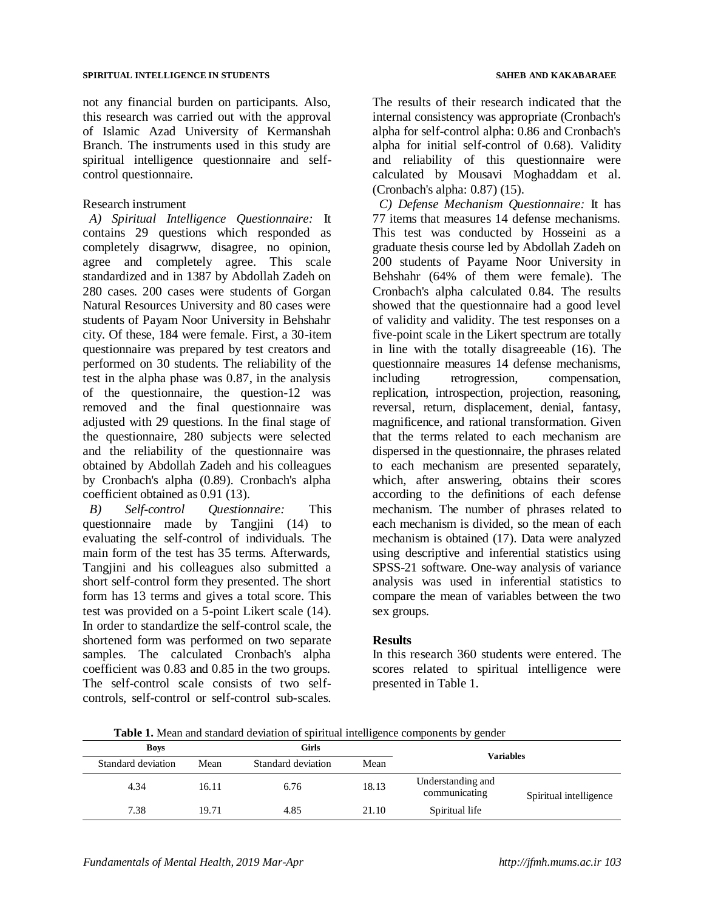not any financial burden on participants. Also, this research was carried out with the approval of Islamic Azad University of Kermanshah Branch. The instruments used in this study are spiritual intelligence questionnaire and selfcontrol questionnaire.

### Research instrument

*A) Spiritual Intelligence Questionnaire:* It contains 29 questions which responded as completely disagrww, disagree, no opinion, agree and completely agree. This scale standardized and in 1387 by Abdollah Zadeh on 280 cases. 200 cases were students of Gorgan Natural Resources University and 80 cases were students of Payam Noor University in Behshahr city. Of these, 184 were female. First, a 30-item questionnaire was prepared by test creators and performed on 30 students. The reliability of the test in the alpha phase was 0.87, in the analysis of the questionnaire, the question-12 was removed and the final questionnaire was adjusted with 29 questions. In the final stage of the questionnaire, 280 subjects were selected and the reliability of the questionnaire was obtained by Abdollah Zadeh and his colleagues by Cronbach's alpha (0.89). Cronbach's alpha coefficient obtained as 0.91 (13).

*B) Self-control Questionnaire:* This questionnaire made by Tangjini (14) to evaluating the self-control of individuals. The main form of the test has 35 terms. Afterwards, Tangjini and his colleagues also submitted a short self-control form they presented. The short form has 13 terms and gives a total score. This test was provided on a 5-point Likert scale (14). In order to standardize the self-control scale, the shortened form was performed on two separate samples. The calculated Cronbach's alpha coefficient was 0.83 and 0.85 in the two groups. The self-control scale consists of two selfcontrols, self-control or self-control sub-scales.

The results of their research indicated that the internal consistency was appropriate (Cronbach's alpha for self-control alpha: 0.86 and Cronbach's alpha for initial self-control of 0.68). Validity and reliability of this questionnaire were calculated by Mousavi Moghaddam et al. (Cronbach's alpha: 0.87) (15).

*C) Defense Mechanism Questionnaire:* It has 77 items that measures 14 defense mechanisms. This test was conducted by Hosseini as a graduate thesis course led by Abdollah Zadeh on 200 students of Payame Noor University in Behshahr (64% of them were female). The Cronbach's alpha calculated 0.84. The results showed that the questionnaire had a good level of validity and validity. The test responses on a five-point scale in the Likert spectrum are totally in line with the totally disagreeable (16). The questionnaire measures 14 defense mechanisms, including retrogression, compensation, replication, introspection, projection, reasoning, reversal, return, displacement, denial, fantasy, magnificence, and rational transformation. Given that the terms related to each mechanism are dispersed in the questionnaire, the phrases related to each mechanism are presented separately, which, after answering, obtains their scores according to the definitions of each defense mechanism. The number of phrases related to each mechanism is divided, so the mean of each mechanism is obtained (17). Data were analyzed using descriptive and inferential statistics using SPSS-21 software. One-way analysis of variance analysis was used in inferential statistics to compare the mean of variables between the two sex groups.

#### **Results**

In this research 360 students were entered. The scores related to spiritual intelligence were presented in Table 1.

**Table 1.** Mean and standard deviation of spiritual intelligence components by gender

| <b>Boys</b>                |       | Girls              |       | Variables                          |                        |  |
|----------------------------|-------|--------------------|-------|------------------------------------|------------------------|--|
| Standard deviation<br>Mean |       | Standard deviation | Mean  |                                    |                        |  |
| 4.34                       | 16.11 | 6.76               | 18.13 | Understanding and<br>communicating | Spiritual intelligence |  |
| 7.38                       | 19.71 | 4.85               | 21.10 | Spiritual life                     |                        |  |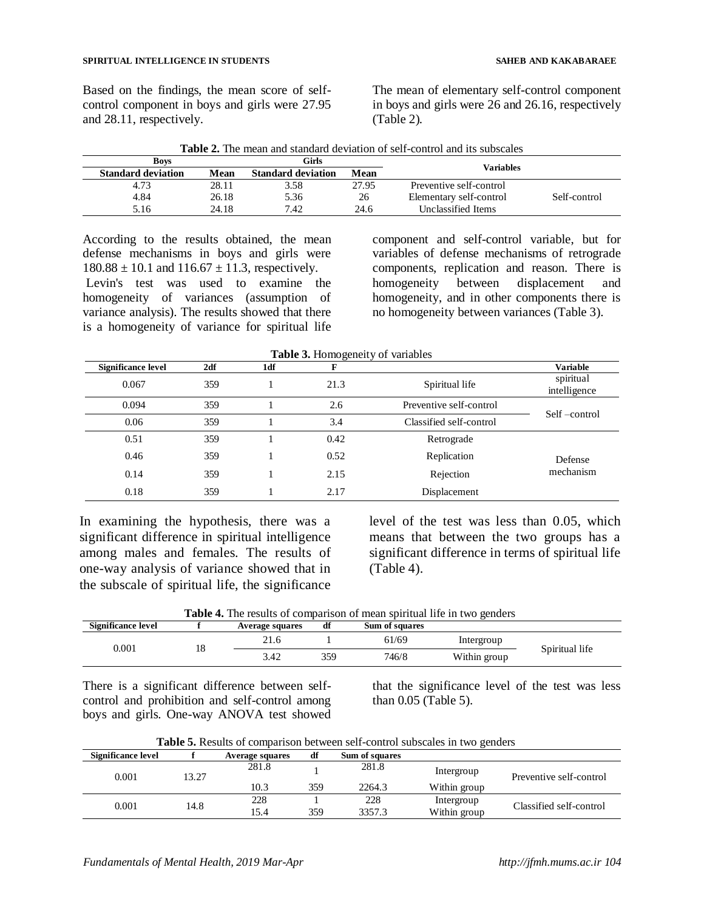Based on the findings, the mean score of selfcontrol component in boys and girls were 27.95 and 28.11, respectively.

The mean of elementary self-control component in boys and girls were 26 and 26.16, respectively (Table 2).

| <b>Boys</b>               |       | Girls                     |       |                         |              |  |
|---------------------------|-------|---------------------------|-------|-------------------------|--------------|--|
| <b>Standard deviation</b> | Mean  | <b>Standard deviation</b> | Mean  | <b>Variables</b>        |              |  |
| 4.73                      | 28.11 | 3.58                      | 27.95 | Preventive self-control |              |  |
| 4.84                      | 26.18 | 5.36                      | 26    | Elementary self-control | Self-control |  |
| 5.16                      | 24.18 | 7.42                      | 24.6  | Unclassified Items      |              |  |

**Table 2.** The mean and standard deviation of self-control and its subscales

According to the results obtained, the mean defense mechanisms in boys and girls were  $180.88 \pm 10.1$  and  $116.67 \pm 11.3$ , respectively. Levin's test was used to examine the homogeneity of variances (assumption of variance analysis). The results showed that there is a homogeneity of variance for spiritual life component and self-control variable, but for variables of defense mechanisms of retrograde components, replication and reason. There is homogeneity between displacement and homogeneity, and in other components there is no homogeneity between variances (Table 3).

|  |  | Table 3. Homogeneity of variables |
|--|--|-----------------------------------|
|  |  |                                   |

| <b>Significance level</b> | 2df | 1df | г    |                         | <b>Variable</b>           |
|---------------------------|-----|-----|------|-------------------------|---------------------------|
| 0.067                     | 359 |     | 21.3 | Spiritual life          | spiritual<br>intelligence |
| 0.094                     | 359 |     | 2.6  | Preventive self-control | Self-control              |
| 0.06                      | 359 |     | 3.4  | Classified self-control |                           |
| 0.51                      | 359 |     | 0.42 | Retrograde              |                           |
| 0.46                      | 359 |     | 0.52 | Replication             | Defense                   |
| 0.14                      | 359 |     | 2.15 | Rejection               | mechanism                 |
| 0.18                      | 359 |     | 2.17 | Displacement            |                           |

In examining the hypothesis, there was a significant difference in spiritual intelligence among males and females. The results of one-way analysis of variance showed that in the subscale of spiritual life, the significance

level of the test was less than 0.05, which means that between the two groups has a significant difference in terms of spiritual life (Table 4).

**Table 4.** The results of comparison of mean spiritual life in two genders

| Significance level |    | Average squares | df  | Sum of squares |              |                |
|--------------------|----|-----------------|-----|----------------|--------------|----------------|
| 0.001              | 18 | 41.U            |     | 61/69          | Intergroup   | Spiritual life |
|                    |    | 3.42            | 359 | 746/8          | Within group |                |

There is a significant difference between selfcontrol and prohibition and self-control among boys and girls. One-way ANOVA test showed

that the significance level of the test was less than 0.05 (Table 5).

**Table 5.** Results of comparison between self-control subscales in two genders

| Significance level |      | Average squares | df  | Sum of squares |              |                         |  |
|--------------------|------|-----------------|-----|----------------|--------------|-------------------------|--|
| 0.001              | 3.27 | 281.8           |     | 281.8          | Intergroup   | Preventive self-control |  |
|                    |      | 10.3            | 359 | 2264.3         | Within group |                         |  |
| 0.001              |      | 228             |     | 228            | Intergroup   |                         |  |
|                    | 14.8 | 15.4            | 359 | 3357.3         | Within group | Classified self-control |  |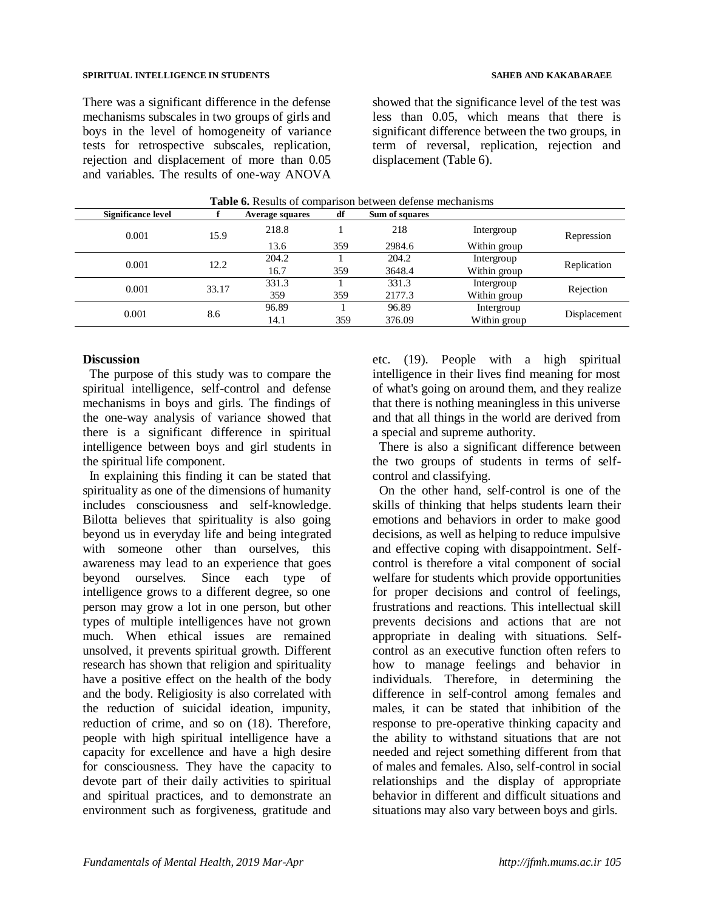#### **SPIRITUAL INTELLIGENCE IN STUDENTS SAHEB AND KAKABARAEE**

There was a significant difference in the defense mechanisms subscales in two groups of girls and boys in the level of homogeneity of variance tests for retrospective subscales, replication, rejection and displacement of more than 0.05 and variables. The results of one-way ANOVA

showed that the significance level of the test was less than 0.05, which means that there is significant difference between the two groups, in term of reversal, replication, rejection and displacement (Table 6).

| Significance level |       | <b>Average squares</b> | df   | Sum of squares |              |              |              |
|--------------------|-------|------------------------|------|----------------|--------------|--------------|--------------|
| 0.001              | 15.9  | 218.8                  |      | 218            | Intergroup   | Repression   |              |
|                    |       | 13.6                   | 359  | 2984.6         | Within group |              |              |
| 0.001              | 12.2  | 204.2                  |      | 204.2          | Intergroup   | Replication  |              |
|                    |       | 16.7                   | 359  | 3648.4         | Within group |              |              |
| 0.001              | 33.17 | 331.3                  |      | 331.3          | Intergroup   |              |              |
|                    |       | 359                    | 359  | 2177.3         | Within group | Rejection    |              |
|                    | 8.6   | 96.89                  |      | 96.89          | Intergroup   |              |              |
| 0.001              |       |                        | 14.1 | 359            | 376.09       | Within group | Displacement |

#### **Table 6.** Results of comparison between defense mechanisms

## **Discussion**

The purpose of this study was to compare the spiritual intelligence, self-control and defense mechanisms in boys and girls. The findings of the one-way analysis of variance showed that there is a significant difference in spiritual intelligence between boys and girl students in the spiritual life component.

In explaining this finding it can be stated that spirituality as one of the dimensions of humanity includes consciousness and self-knowledge. Bilotta believes that spirituality is also going beyond us in everyday life and being integrated with someone other than ourselves, this awareness may lead to an experience that goes beyond ourselves. Since each type of intelligence grows to a different degree, so one person may grow a lot in one person, but other types of multiple intelligences have not grown much. When ethical issues are remained unsolved, it prevents spiritual growth. Different research has shown that religion and spirituality have a positive effect on the health of the body and the body. Religiosity is also correlated with the reduction of suicidal ideation, impunity, reduction of crime, and so on (18). Therefore, people with high spiritual intelligence have a capacity for excellence and have a high desire for consciousness. They have the capacity to devote part of their daily activities to spiritual and spiritual practices, and to demonstrate an environment such as forgiveness, gratitude and etc. (19). People with a high spiritual intelligence in their lives find meaning for most of what's going on around them, and they realize that there is nothing meaningless in this universe and that all things in the world are derived from a special and supreme authority.

There is also a significant difference between the two groups of students in terms of selfcontrol and classifying.

On the other hand, self-control is one of the skills of thinking that helps students learn their emotions and behaviors in order to make good decisions, as well as helping to reduce impulsive and effective coping with disappointment. Selfcontrol is therefore a vital component of social welfare for students which provide opportunities for proper decisions and control of feelings, frustrations and reactions. This intellectual skill prevents decisions and actions that are not appropriate in dealing with situations. Selfcontrol as an executive function often refers to how to manage feelings and behavior in individuals. Therefore, in determining the difference in self-control among females and males, it can be stated that inhibition of the response to pre-operative thinking capacity and the ability to withstand situations that are not needed and reject something different from that of males and females. Also, self-control in social relationships and the display of appropriate behavior in different and difficult situations and situations may also vary between boys and girls.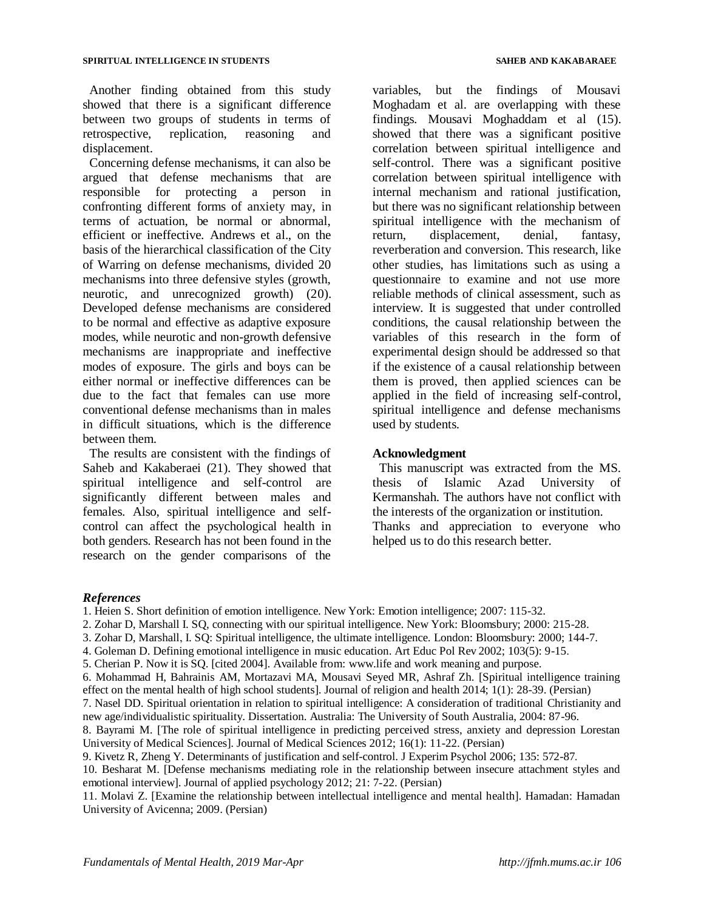Another finding obtained from this study showed that there is a significant difference between two groups of students in terms of retrospective, replication, reasoning and displacement.

Concerning defense mechanisms, it can also be argued that defense mechanisms that are responsible for protecting a person in confronting different forms of anxiety may, in terms of actuation, be normal or abnormal, efficient or ineffective. Andrews et al., on the basis of the hierarchical classification of the City of Warring on defense mechanisms, divided 20 mechanisms into three defensive styles (growth, neurotic, and unrecognized growth) (20). Developed defense mechanisms are considered to be normal and effective as adaptive exposure modes, while neurotic and non-growth defensive mechanisms are inappropriate and ineffective modes of exposure. The girls and boys can be either normal or ineffective differences can be due to the fact that females can use more conventional defense mechanisms than in males in difficult situations, which is the difference between them.

The results are consistent with the findings of Saheb and Kakaberaei (21). They showed that spiritual intelligence and self-control are significantly different between males and females. Also, spiritual intelligence and selfcontrol can affect the psychological health in both genders. Research has not been found in the research on the gender comparisons of the variables, but the findings of Mousavi Moghadam et al. are overlapping with these findings. Mousavi Moghaddam et al (15). showed that there was a significant positive correlation between spiritual intelligence and self-control. There was a significant positive correlation between spiritual intelligence with internal mechanism and rational justification, but there was no significant relationship between spiritual intelligence with the mechanism of return, displacement, denial, fantasy, reverberation and conversion. This research, like other studies, has limitations such as using a questionnaire to examine and not use more reliable methods of clinical assessment, such as interview. It is suggested that under controlled conditions, the causal relationship between the variables of this research in the form of experimental design should be addressed so that if the existence of a causal relationship between them is proved, then applied sciences can be applied in the field of increasing self-control, spiritual intelligence and defense mechanisms used by students.

#### **Acknowledgment**

This manuscript was extracted from the MS. thesis of Islamic Azad University of Kermanshah. The authors have not conflict with the interests of the organization or institution. Thanks and appreciation to everyone who helped us to do this research better.

## *References*

1. Heien S. Short definition of emotion intelligence. New York: Emotion intelligence; 2007: 115-32.

- 2. Zohar D, Marshall I. SQ, connecting with our spiritual intelligence. New York: Bloomsbury; 2000: 215-28.
- 3. Zohar D, Marshall, I. SQ: Spiritual intelligence, the ultimate intelligence. London: Bloomsbury: 2000; 144-7.
- 4. Goleman D. Defining emotional intelligence in music education. Art Educ Pol Rev 2002; 103(5): 9-15.
- 5. Cherian P. Now it is SQ. [cited 2004]. Available from: www.life and work meaning and purpose.

11. Molavi Z. [Examine the relationship between intellectual intelligence and mental health]. Hamadan: Hamadan University of Avicenna; 2009. (Persian)

<sup>6.</sup> Mohammad H, Bahrainis AM, Mortazavi MA, Mousavi Seyed MR, Ashraf Zh. [Spiritual intelligence training

effect on the mental health of high school students]. Journal of religion and health 2014; 1(1): 28-39. (Persian)

<sup>7.</sup> Nasel DD. Spiritual orientation in relation to spiritual intelligence: A consideration of traditional Christianity and new age/individualistic spirituality. Dissertation. Australia: The University of South Australia, 2004: 87-96.

<sup>8.</sup> Bayrami M. [The role of spiritual intelligence in predicting perceived stress, anxiety and depression Lorestan University of Medical Sciences]. Journal of Medical Sciences 2012; 16(1): 11-22. (Persian)

<sup>9.</sup> Kivetz R, Zheng Y. Determinants of justification and self-control. J Experim Psychol 2006; 135: 572-87.

<sup>10.</sup> Besharat M. [Defense mechanisms mediating role in the relationship between insecure attachment styles and emotional interview]. Journal of applied psychology 2012; 21: 7-22. (Persian)